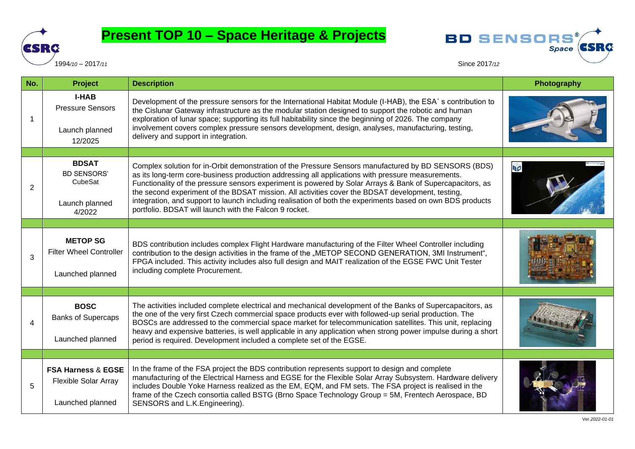

## **Present TOP 10 – Space Heritage & Projects**





| No.            | <b>Project</b>                                                                   | <b>Description</b>                                                                                                                                                                                                                                                                                                                                                                                                                                                                                                                                                                                 | Photography |
|----------------|----------------------------------------------------------------------------------|----------------------------------------------------------------------------------------------------------------------------------------------------------------------------------------------------------------------------------------------------------------------------------------------------------------------------------------------------------------------------------------------------------------------------------------------------------------------------------------------------------------------------------------------------------------------------------------------------|-------------|
|                | <b>I-HAB</b><br><b>Pressure Sensors</b><br>Launch planned<br>12/2025             | Development of the pressure sensors for the International Habitat Module (I-HAB), the ESA's contribution to<br>the Cislunar Gateway infrastructure as the modular station designed to support the robotic and human<br>exploration of lunar space; supporting its full habitability since the beginning of 2026. The company<br>involvement covers complex pressure sensors development, design, analyses, manufacturing, testing,<br>delivery and support in integration.                                                                                                                         |             |
|                |                                                                                  |                                                                                                                                                                                                                                                                                                                                                                                                                                                                                                                                                                                                    |             |
| $\overline{2}$ | <b>BDSAT</b><br><b>BD SENSORS'</b><br>CubeSat<br>Launch planned<br>4/2022        | Complex solution for in-Orbit demonstration of the Pressure Sensors manufactured by BD SENSORS (BDS)<br>as its long-term core-business production addressing all applications with pressure measurements.<br>Functionality of the pressure sensors experiment is powered by Solar Arrays & Bank of Supercapacitors, as<br>the second experiment of the BDSAT mission. All activities cover the BDSAT development, testing,<br>integration, and support to launch including realisation of both the experiments based on own BDS products<br>portfolio. BDSAT will launch with the Falcon 9 rocket. | BØ          |
|                |                                                                                  |                                                                                                                                                                                                                                                                                                                                                                                                                                                                                                                                                                                                    |             |
| 3              | <b>METOP SG</b><br><b>Filter Wheel Controller</b><br>Launched planned            | BDS contribution includes complex Flight Hardware manufacturing of the Filter Wheel Controller including<br>contribution to the design activities in the frame of the "METOP SECOND GENERATION, 3MI Instrument",<br>FPGA included. This activity includes also full design and MAIT realization of the EGSE FWC Unit Tester<br>including complete Procurement.                                                                                                                                                                                                                                     |             |
|                |                                                                                  |                                                                                                                                                                                                                                                                                                                                                                                                                                                                                                                                                                                                    |             |
| 4              | <b>BOSC</b><br><b>Banks of Supercaps</b><br>Launched planned                     | The activities included complete electrical and mechanical development of the Banks of Supercapacitors, as<br>the one of the very first Czech commercial space products ever with followed-up serial production. The<br>BOSCs are addressed to the commercial space market for telecommunication satellites. This unit, replacing<br>heavy and expensive batteries, is well applicable in any application when strong power impulse during a short<br>period is required. Development included a complete set of the EGSE.                                                                         |             |
|                |                                                                                  |                                                                                                                                                                                                                                                                                                                                                                                                                                                                                                                                                                                                    |             |
| 5              | <b>FSA Harness &amp; EGSE</b><br><b>Flexible Solar Array</b><br>Launched planned | In the frame of the FSA project the BDS contribution represents support to design and complete<br>manufacturing of the Electrical Harness and EGSE for the Flexible Solar Array Subsystem. Hardware delivery<br>includes Double Yoke Harness realized as the EM, EQM, and FM sets. The FSA project is realised in the<br>frame of the Czech consortia called BSTG (Brno Space Technology Group = 5M, Frentech Aerospace, BD<br>SENSORS and L.K. Engineering).                                                                                                                                      |             |